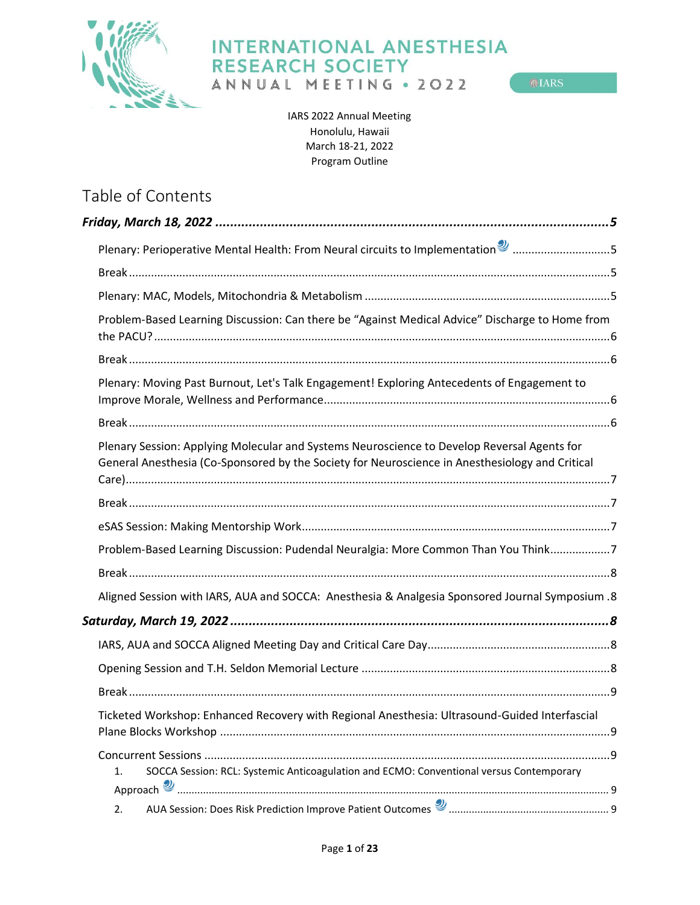

 $<sup>①</sup> IARS$ </sup>

IARS 2022 Annual Meeting Honolulu, Hawaii March 18-21, 2022 Program Outline

# Table of Contents

| Plenary: Perioperative Mental Health: From Neural circuits to Implementation <sup>y</sup> 5                                                                                                    |  |
|------------------------------------------------------------------------------------------------------------------------------------------------------------------------------------------------|--|
|                                                                                                                                                                                                |  |
|                                                                                                                                                                                                |  |
| Problem-Based Learning Discussion: Can there be "Against Medical Advice" Discharge to Home from                                                                                                |  |
|                                                                                                                                                                                                |  |
| Plenary: Moving Past Burnout, Let's Talk Engagement! Exploring Antecedents of Engagement to                                                                                                    |  |
|                                                                                                                                                                                                |  |
| Plenary Session: Applying Molecular and Systems Neuroscience to Develop Reversal Agents for<br>General Anesthesia (Co-Sponsored by the Society for Neuroscience in Anesthesiology and Critical |  |
|                                                                                                                                                                                                |  |
|                                                                                                                                                                                                |  |
| Problem-Based Learning Discussion: Pudendal Neuralgia: More Common Than You Think7                                                                                                             |  |
|                                                                                                                                                                                                |  |
| Aligned Session with IARS, AUA and SOCCA: Anesthesia & Analgesia Sponsored Journal Symposium .8                                                                                                |  |
|                                                                                                                                                                                                |  |
|                                                                                                                                                                                                |  |
|                                                                                                                                                                                                |  |
|                                                                                                                                                                                                |  |
| Ticketed Workshop: Enhanced Recovery with Regional Anesthesia: Ultrasound-Guided Interfascial                                                                                                  |  |
|                                                                                                                                                                                                |  |
| SOCCA Session: RCL: Systemic Anticoagulation and ECMO: Conventional versus Contemporary<br>1.                                                                                                  |  |
| 2.                                                                                                                                                                                             |  |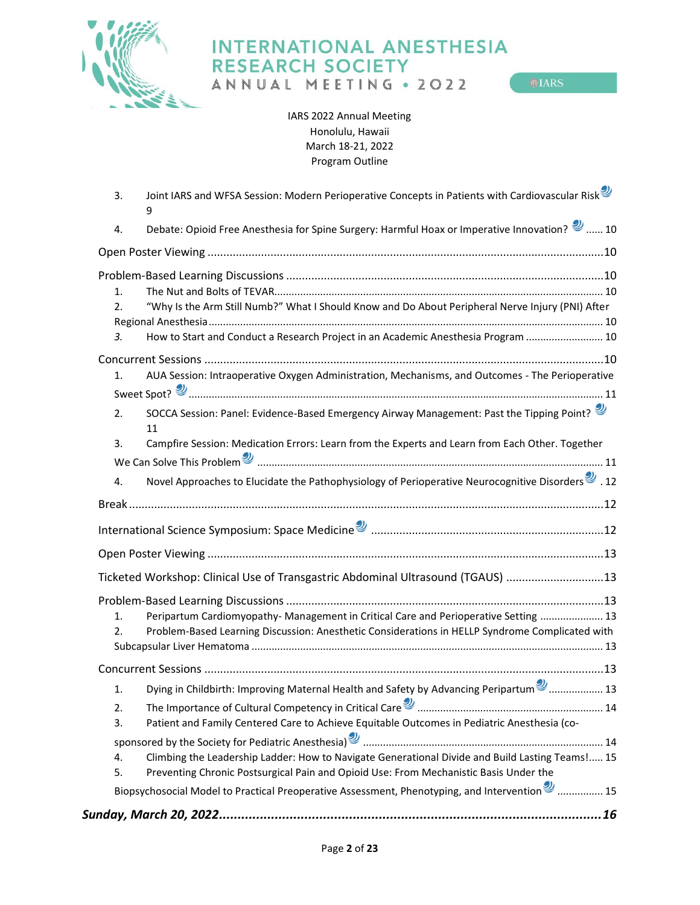

ANNUAL MEETING . 2022

 $<sup>①</sup> IARS$ </sup>

IARS 2022 Annual Meeting Honolulu, Hawaii March 18-21, 2022 Program Outline

| 3. | Joint IARS and WFSA Session: Modern Perioperative Concepts in Patients with Cardiovascular Risk<br>9              |  |
|----|-------------------------------------------------------------------------------------------------------------------|--|
| 4. | Debate: Opioid Free Anesthesia for Spine Surgery: Harmful Hoax or Imperative Innovation? 2  10                    |  |
|    |                                                                                                                   |  |
|    |                                                                                                                   |  |
| 1. |                                                                                                                   |  |
| 2. | "Why Is the Arm Still Numb?" What I Should Know and Do About Peripheral Nerve Injury (PNI) After                  |  |
|    |                                                                                                                   |  |
| 3. | How to Start and Conduct a Research Project in an Academic Anesthesia Program  10                                 |  |
|    |                                                                                                                   |  |
| 1. | AUA Session: Intraoperative Oxygen Administration, Mechanisms, and Outcomes - The Perioperative                   |  |
|    | Sweet Spot? <u>Summan manual communication</u> and the series of the summan summan summan summan summan summan di |  |
| 2. | SOCCA Session: Panel: Evidence-Based Emergency Airway Management: Past the Tipping Point?<br>11                   |  |
| 3. | Campfire Session: Medication Errors: Learn from the Experts and Learn from Each Other. Together                   |  |
|    | We Can Solve This Problem and Communication and the Can Solve This Problem and Communication and Communication    |  |
| 4. | 12. Novel Approaches to Elucidate the Pathophysiology of Perioperative Neurocognitive Disorders <sup>9</sup> .    |  |
|    |                                                                                                                   |  |
|    |                                                                                                                   |  |
|    |                                                                                                                   |  |
|    |                                                                                                                   |  |
|    | Ticketed Workshop: Clinical Use of Transgastric Abdominal Ultrasound (TGAUS) 13                                   |  |
|    |                                                                                                                   |  |
| 1. | Peripartum Cardiomyopathy-Management in Critical Care and Perioperative Setting  13                               |  |
| 2. | Problem-Based Learning Discussion: Anesthetic Considerations in HELLP Syndrome Complicated with                   |  |
|    |                                                                                                                   |  |
|    |                                                                                                                   |  |
| 1. | Dying in Childbirth: Improving Maternal Health and Safety by Advancing Peripartum <sup>9</sup> 13                 |  |
| 2. |                                                                                                                   |  |
| 3. | Patient and Family Centered Care to Achieve Equitable Outcomes in Pediatric Anesthesia (co-                       |  |
|    |                                                                                                                   |  |
| 4. | Climbing the Leadership Ladder: How to Navigate Generational Divide and Build Lasting Teams ! 15                  |  |
| 5. | Preventing Chronic Postsurgical Pain and Opioid Use: From Mechanistic Basis Under the                             |  |
|    | Biopsychosocial Model to Practical Preoperative Assessment, Phenotyping, and Intervention <sup>2</sup> 15         |  |
|    |                                                                                                                   |  |
|    |                                                                                                                   |  |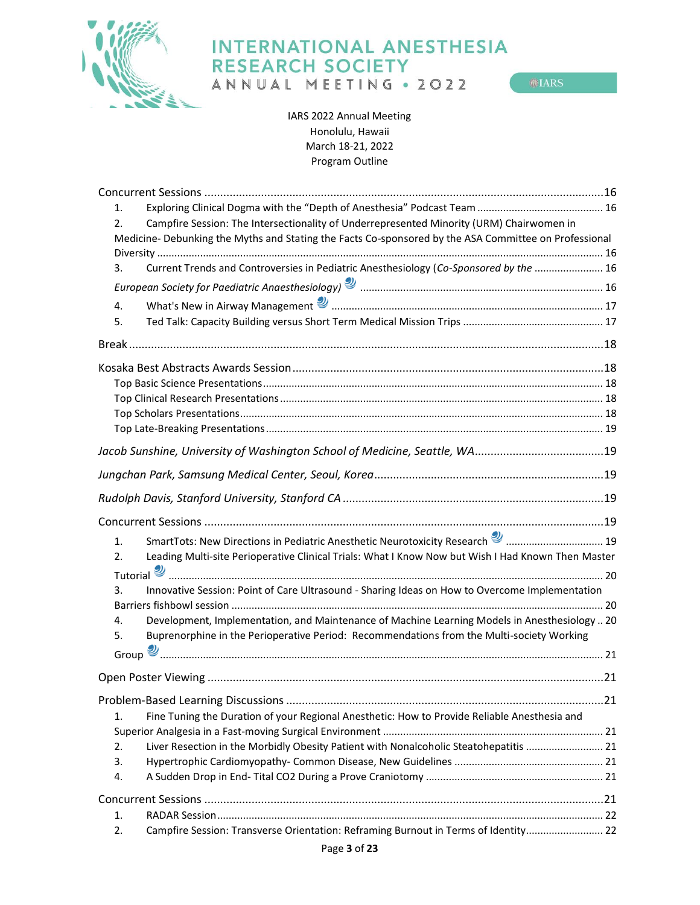

ANNUAL MEETING . 2022

 $<sup>①</sup> IARS$ </sup>

IARS 2022 Annual Meeting Honolulu, Hawaii March 18-21, 2022 Program Outline

| 1.                                                                                                                                                                                                                                  |  |
|-------------------------------------------------------------------------------------------------------------------------------------------------------------------------------------------------------------------------------------|--|
| Campfire Session: The Intersectionality of Underrepresented Minority (URM) Chairwomen in<br>2.                                                                                                                                      |  |
| Medicine- Debunking the Myths and Stating the Facts Co-sponsored by the ASA Committee on Professional                                                                                                                               |  |
|                                                                                                                                                                                                                                     |  |
| Current Trends and Controversies in Pediatric Anesthesiology (Co-Sponsored by the  16<br>3.                                                                                                                                         |  |
|                                                                                                                                                                                                                                     |  |
| 4.                                                                                                                                                                                                                                  |  |
| 5.                                                                                                                                                                                                                                  |  |
|                                                                                                                                                                                                                                     |  |
|                                                                                                                                                                                                                                     |  |
|                                                                                                                                                                                                                                     |  |
|                                                                                                                                                                                                                                     |  |
|                                                                                                                                                                                                                                     |  |
|                                                                                                                                                                                                                                     |  |
|                                                                                                                                                                                                                                     |  |
| Jacob Sunshine, University of Washington School of Medicine, Seattle, WA19                                                                                                                                                          |  |
|                                                                                                                                                                                                                                     |  |
|                                                                                                                                                                                                                                     |  |
|                                                                                                                                                                                                                                     |  |
| SmartTots: New Directions in Pediatric Anesthetic Neurotoxicity Research 2  19<br>1.                                                                                                                                                |  |
| Leading Multi-site Perioperative Clinical Trials: What I Know Now but Wish I Had Known Then Master<br>2.                                                                                                                            |  |
|                                                                                                                                                                                                                                     |  |
| Innovative Session: Point of Care Ultrasound - Sharing Ideas on How to Overcome Implementation<br>3.                                                                                                                                |  |
|                                                                                                                                                                                                                                     |  |
| Development, Implementation, and Maintenance of Machine Learning Models in Anesthesiology  20<br>4.                                                                                                                                 |  |
| Buprenorphine in the Perioperative Period: Recommendations from the Multi-society Working<br>5.                                                                                                                                     |  |
| Group <u>Summan manual communication</u> contract the communication of the contract of the contract of the contract of the contract of the contract of the contract of the contract of the contract of the contract of the contract |  |
|                                                                                                                                                                                                                                     |  |
|                                                                                                                                                                                                                                     |  |
|                                                                                                                                                                                                                                     |  |
| Fine Tuning the Duration of your Regional Anesthetic: How to Provide Reliable Anesthesia and<br>1.                                                                                                                                  |  |
|                                                                                                                                                                                                                                     |  |
| Liver Resection in the Morbidly Obesity Patient with Nonalcoholic Steatohepatitis  21<br>2.                                                                                                                                         |  |
| 3.                                                                                                                                                                                                                                  |  |
| 4.                                                                                                                                                                                                                                  |  |
|                                                                                                                                                                                                                                     |  |
| 1.                                                                                                                                                                                                                                  |  |
| Campfire Session: Transverse Orientation: Reframing Burnout in Terms of Identity 22<br>2.                                                                                                                                           |  |
|                                                                                                                                                                                                                                     |  |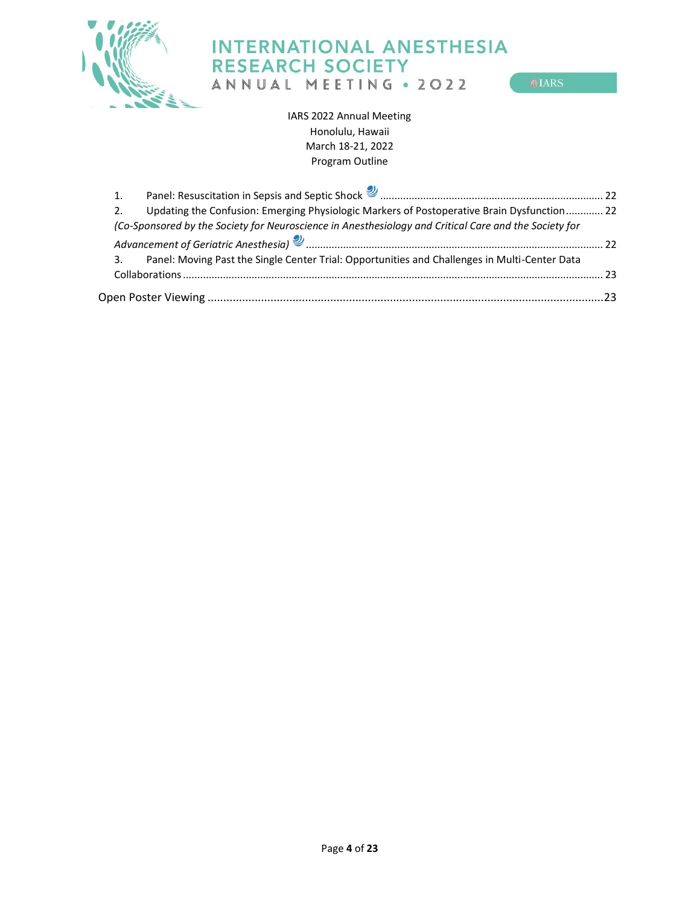

ANNUAL MEETING . 2022

 $\circ$ IARS

IARS 2022 Annual Meeting Honolulu, Hawaii March 18-21, 2022 Program Outline

| 1. |                                                                                                       |  |
|----|-------------------------------------------------------------------------------------------------------|--|
|    | Updating the Confusion: Emerging Physiologic Markers of Postoperative Brain Dysfunction 22            |  |
|    | (Co-Sponsored by the Society for Neuroscience in Anesthesiology and Critical Care and the Society for |  |
|    |                                                                                                       |  |
|    | Panel: Moving Past the Single Center Trial: Opportunities and Challenges in Multi-Center Data         |  |
|    |                                                                                                       |  |
|    |                                                                                                       |  |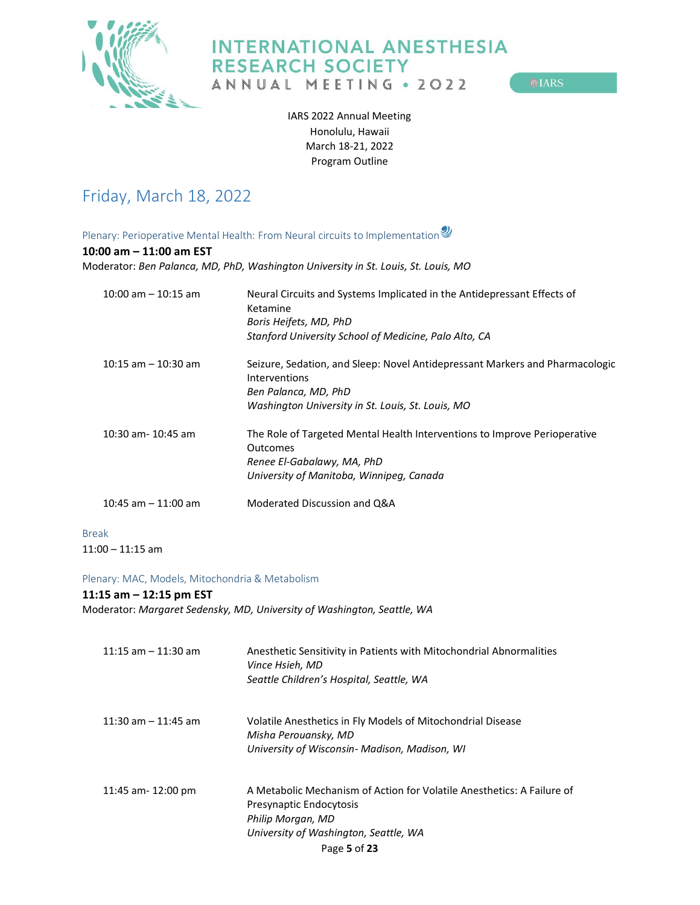

ANNUAL MEETING . 2022

**OLARS** 

IARS 2022 Annual Meeting Honolulu, Hawaii March 18-21, 2022 Program Outline

# <span id="page-4-0"></span>Friday, March 18, 2022

<span id="page-4-1"></span>Plenary: Perioperative Mental Health: From Neural circuits to Implementation

#### **10:00 am – 11:00 am EST**

Moderator: *Ben Palanca, MD, PhD, Washington University in St. Louis, St. Louis, MO*

| $10:00$ am $- 10:15$ am | Neural Circuits and Systems Implicated in the Antidepressant Effects of<br>Ketamine                  |
|-------------------------|------------------------------------------------------------------------------------------------------|
|                         | Boris Heifets, MD, PhD                                                                               |
|                         | Stanford University School of Medicine, Palo Alto, CA                                                |
| $10:15$ am $-10:30$ am  | Seizure, Sedation, and Sleep: Novel Antidepressant Markers and Pharmacologic<br><b>Interventions</b> |
|                         | Ben Palanca, MD, PhD                                                                                 |
|                         | Washington University in St. Louis, St. Louis, MO                                                    |
| 10:30 am- 10:45 am      | The Role of Targeted Mental Health Interventions to Improve Perioperative<br><b>Outcomes</b>         |
|                         | Renee El-Gabalawy, MA, PhD                                                                           |
|                         | University of Manitoba, Winnipeg, Canada                                                             |
| $10:45$ am $-11:00$ am  | Moderated Discussion and Q&A                                                                         |
| <b>Break</b>            |                                                                                                      |

<span id="page-4-2"></span>11:00 – 11:15 am

#### <span id="page-4-3"></span>Plenary: MAC, Models, Mitochondria & Metabolism

#### **11:15 am – 12:15 pm EST**

Moderator: *Margaret Sedensky, MD, University of Washington, Seattle, WA*

| $11:15$ am $-11:30$ am | Anesthetic Sensitivity in Patients with Mitochondrial Abnormalities<br>Vince Hsieh, MD<br>Seattle Children's Hospital, Seattle, WA                              |
|------------------------|-----------------------------------------------------------------------------------------------------------------------------------------------------------------|
| $11:30$ am $-11:45$ am | Volatile Anesthetics in Fly Models of Mitochondrial Disease<br>Misha Perouansky, MD<br>University of Wisconsin- Madison, Madison, WI                            |
| 11:45 am- 12:00 pm     | A Metabolic Mechanism of Action for Volatile Anesthetics: A Failure of<br>Presynaptic Endocytosis<br>Philip Morgan, MD<br>University of Washington, Seattle, WA |
|                        | Page 5 of 23                                                                                                                                                    |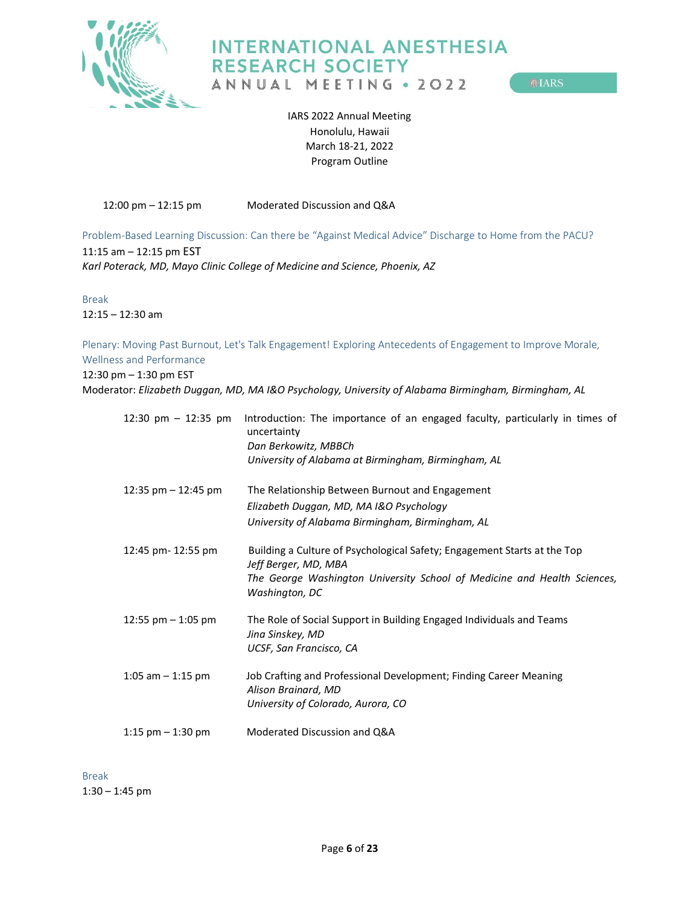

**OLIARS** 

IARS 2022 Annual Meeting Honolulu, Hawaii March 18-21, 2022 Program Outline

12:00 pm – 12:15 pm Moderated Discussion and Q&A

<span id="page-5-0"></span>Problem-Based Learning Discussion: Can there be "Against Medical Advice" Discharge to Home from the PACU? 11:15 am – 12:15 pm EST

*Karl Poterack, MD, Mayo Clinic College of Medicine and Science, Phoenix, AZ*

<span id="page-5-1"></span>Break 12:15 – 12:30 am

<span id="page-5-2"></span>Plenary: Moving Past Burnout, Let's Talk Engagement! Exploring Antecedents of Engagement to Improve Morale, Wellness and Performance

12:30 pm – 1:30 pm EST

Moderator: *Elizabeth Duggan, MD, MA I&O Psychology, University of Alabama Birmingham, Birmingham, AL*

|                       | 12:30 pm - 12:35 pm Introduction: The importance of an engaged faculty, particularly in times of<br>uncertainty |
|-----------------------|-----------------------------------------------------------------------------------------------------------------|
|                       | Dan Berkowitz, MBBCh                                                                                            |
|                       | University of Alabama at Birmingham, Birmingham, AL                                                             |
| 12:35 pm $-$ 12:45 pm | The Relationship Between Burnout and Engagement                                                                 |
|                       | Elizabeth Duggan, MD, MA I&O Psychology                                                                         |
|                       | University of Alabama Birmingham, Birmingham, AL                                                                |
| 12:45 pm- 12:55 pm    | Building a Culture of Psychological Safety; Engagement Starts at the Top<br>Jeff Berger, MD, MBA                |
|                       | The George Washington University School of Medicine and Health Sciences,<br>Washington, DC                      |
| 12:55 $pm - 1:05$ pm  | The Role of Social Support in Building Engaged Individuals and Teams<br>Jina Sinskey, MD                        |
|                       | UCSF, San Francisco, CA                                                                                         |
| 1:05 am $-$ 1:15 pm   | Job Crafting and Professional Development; Finding Career Meaning<br>Alison Brainard, MD                        |
|                       | University of Colorado, Aurora, CO                                                                              |
| 1:15 $pm - 1:30$ pm   | Moderated Discussion and Q&A                                                                                    |

<span id="page-5-3"></span>Break 1:30 – 1:45 pm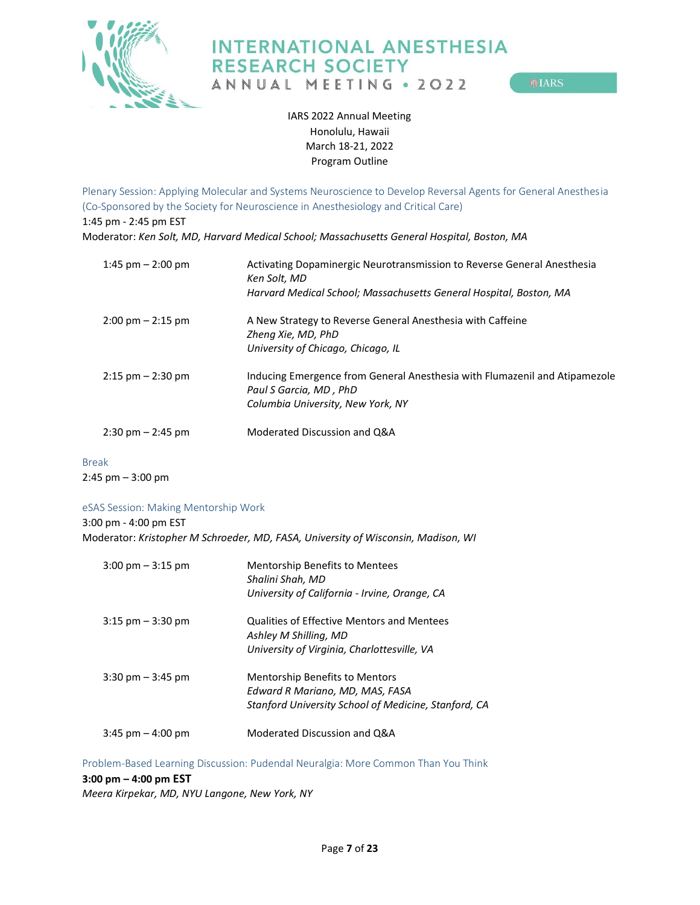

ANNUAL MEETING . 2022

**MIARS** 

IARS 2022 Annual Meeting Honolulu, Hawaii March 18-21, 2022 Program Outline

<span id="page-6-0"></span>Plenary Session: Applying Molecular and Systems Neuroscience to Develop Reversal Agents for General Anesthesia (Co-Sponsored by the Society for Neuroscience in Anesthesiology and Critical Care) 1:45 pm - 2:45 pm EST Moderator: *Ken Solt, MD, Harvard Medical School; Massachusetts General Hospital, Boston, MA*

| 1:45 pm $-$ 2:00 pm                 | Activating Dopaminergic Neurotransmission to Reverse General Anesthesia<br>Ken Solt, MD<br>Harvard Medical School; Massachusetts General Hospital, Boston, MA |
|-------------------------------------|---------------------------------------------------------------------------------------------------------------------------------------------------------------|
| $2:00 \text{ pm} - 2:15 \text{ pm}$ | A New Strategy to Reverse General Anesthesia with Caffeine<br>Zheng Xie, MD, PhD<br>University of Chicago, Chicago, IL                                        |
| $2:15$ pm $-2:30$ pm                | Inducing Emergence from General Anesthesia with Flumazenil and Atipamezole<br>Paul S Garcia, MD, PhD<br>Columbia University, New York, NY                     |
| $2:30 \text{ pm} - 2:45 \text{ pm}$ | Moderated Discussion and Q&A                                                                                                                                  |

## <span id="page-6-1"></span>Break

2:45 pm – 3:00 pm

#### <span id="page-6-2"></span>eSAS Session: Making Mentorship Work

3:00 pm - 4:00 pm EST

Moderator: *Kristopher M Schroeder, MD, FASA, University of Wisconsin, Madison, WI*

| $3:00 \text{ pm} - 3:15 \text{ pm}$ | <b>Mentorship Benefits to Mentees</b><br>Shalini Shah, MD<br>University of California - Irvine, Orange, CA |
|-------------------------------------|------------------------------------------------------------------------------------------------------------|
| $3:15$ pm $-3:30$ pm                | <b>Qualities of Effective Mentors and Mentees</b><br>Ashley M Shilling, MD                                 |
|                                     | University of Virginia, Charlottesville, VA                                                                |
| $3:30 \text{ pm} - 3:45 \text{ pm}$ | <b>Mentorship Benefits to Mentors</b>                                                                      |
|                                     | Edward R Mariano, MD, MAS, FASA                                                                            |
|                                     | Stanford University School of Medicine, Stanford, CA                                                       |
| $3:45$ pm $-4:00$ pm                | Moderated Discussion and Q&A                                                                               |

<span id="page-6-3"></span>Problem-Based Learning Discussion: Pudendal Neuralgia: More Common Than You Think

#### **3:00 pm – 4:00 pm EST**

*Meera Kirpekar, MD, NYU Langone, New York, NY*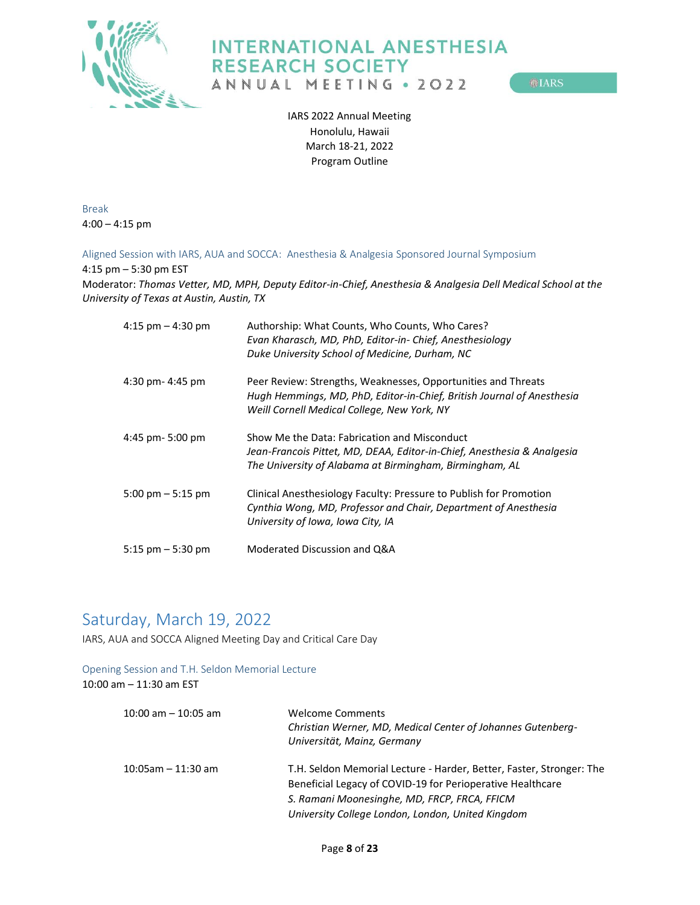

**OLARS** 

IARS 2022 Annual Meeting Honolulu, Hawaii March 18-21, 2022 Program Outline

<span id="page-7-0"></span>Break 4:00 – 4:15 pm

<span id="page-7-1"></span>Aligned Session with IARS, AUA and SOCCA: Anesthesia & Analgesia Sponsored Journal Symposium

4:15 pm – 5:30 pm EST

Moderator: *Thomas Vetter, MD, MPH, Deputy Editor-in-Chief, Anesthesia & Analgesia Dell Medical School at the University of Texas at Austin, Austin, TX*

| 4:15 pm $-$ 4:30 pm  | Authorship: What Counts, Who Counts, Who Cares?<br>Evan Kharasch, MD, PhD, Editor-in- Chief, Anesthesiology<br>Duke University School of Medicine, Durham, NC                          |
|----------------------|----------------------------------------------------------------------------------------------------------------------------------------------------------------------------------------|
| $4:30$ pm- $4:45$ pm | Peer Review: Strengths, Weaknesses, Opportunities and Threats<br>Hugh Hemmings, MD, PhD, Editor-in-Chief, British Journal of Anesthesia<br>Weill Cornell Medical College, New York, NY |
| 4:45 pm- 5:00 pm     | Show Me the Data: Fabrication and Misconduct<br>Jean-Francois Pittet, MD, DEAA, Editor-in-Chief, Anesthesia & Analgesia<br>The University of Alabama at Birmingham, Birmingham, AL     |
| 5:00 pm $-$ 5:15 pm  | Clinical Anesthesiology Faculty: Pressure to Publish for Promotion<br>Cynthia Wong, MD, Professor and Chair, Department of Anesthesia<br>University of Iowa, Iowa City, IA             |
| 5:15 $pm - 5:30$ pm  | Moderated Discussion and Q&A                                                                                                                                                           |

# <span id="page-7-2"></span>Saturday, March 19, 2022

<span id="page-7-3"></span>IARS, AUA and SOCCA Aligned Meeting Day and Critical Care Day

### <span id="page-7-4"></span>Opening Session and T.H. Seldon Memorial Lecture 10:00 am – 11:30 am EST

| $10:00$ am $-10:05$ am | <b>Welcome Comments</b><br>Christian Werner, MD, Medical Center of Johannes Gutenberg-<br>Universität, Mainz, Germany |
|------------------------|-----------------------------------------------------------------------------------------------------------------------|
| $10:05$ am - 11:30 am  | T.H. Seldon Memorial Lecture - Harder, Better, Faster, Stronger: The                                                  |
|                        | Beneficial Legacy of COVID-19 for Perioperative Healthcare                                                            |
|                        | S. Ramani Moonesinghe, MD, FRCP, FRCA, FFICM                                                                          |
|                        | University College London, London, United Kingdom                                                                     |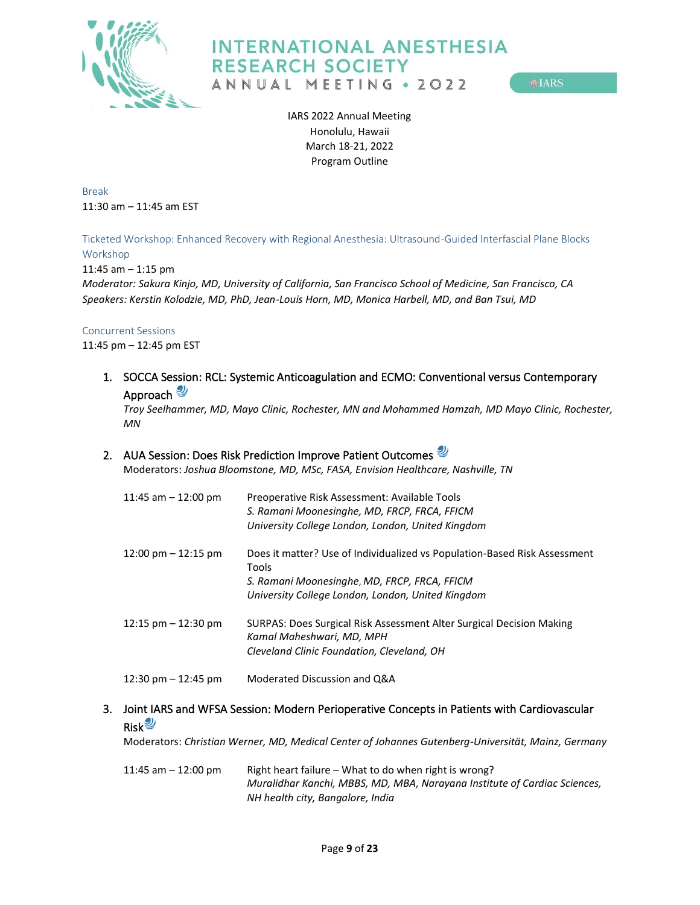

**OLARS** 

IARS 2022 Annual Meeting Honolulu, Hawaii March 18-21, 2022 Program Outline

<span id="page-8-0"></span>Break 11:30 am – 11:45 am EST

<span id="page-8-1"></span>Ticketed Workshop: Enhanced Recovery with Regional Anesthesia: Ultrasound-Guided Interfascial Plane Blocks Workshop

11:45 am – 1:15 pm

*Moderator: Sakura Kinjo, MD, University of California, San Francisco School of Medicine, San Francisco, CA Speakers: Kerstin Kolodzie, MD, PhD, Jean-Louis Horn, MD, Monica Harbell, MD, and Ban Tsui, MD*

#### <span id="page-8-2"></span>Concurrent Sessions

11:45 pm – 12:45 pm EST

<span id="page-8-3"></span>1. SOCCA Session: RCL: Systemic Anticoagulation and ECMO: Conventional versus Contemporary Approach

*Troy Seelhammer, MD, Mayo Clinic, Rochester, MN and Mohammed Hamzah, MD Mayo Clinic, Rochester, MN*

### <span id="page-8-4"></span>2. AUA Session: Does Risk Prediction Improve Patient Outcomes

Moderators: *Joshua Bloomstone, MD, MSc, FASA, Envision Healthcare, Nashville, TN*

| 11:45 am $-$ 12:00 pm                 | Preoperative Risk Assessment: Available Tools<br>S. Ramani Moonesinghe, MD, FRCP, FRCA, FFICM<br>University College London, London, United Kingdom |
|---------------------------------------|----------------------------------------------------------------------------------------------------------------------------------------------------|
| $12:00 \text{ pm} - 12:15 \text{ pm}$ | Does it matter? Use of Individualized vs Population-Based Risk Assessment<br>Tools<br>S. Ramani Moonesinghe, MD, FRCP, FRCA, FFICM                 |
|                                       | University College London, London, United Kingdom                                                                                                  |
| $12:15$ pm $-12:30$ pm                | SURPAS: Does Surgical Risk Assessment Alter Surgical Decision Making<br>Kamal Maheshwari, MD, MPH                                                  |
|                                       | Cleveland Clinic Foundation, Cleveland, OH                                                                                                         |
| 12:30 pm $-$ 12:45 pm                 | Moderated Discussion and Q&A                                                                                                                       |

### <span id="page-8-5"></span>3. Joint IARS and WFSA Session: Modern Perioperative Concepts in Patients with Cardiovascular **Risk**

Moderators: *Christian Werner, MD, Medical Center of Johannes Gutenberg-Universität, Mainz, Germany*

11:45 am – 12:00 pm Right heart failure – What to do when right is wrong? *Muralidhar Kanchi, MBBS, MD, MBA, Narayana Institute of Cardiac Sciences, NH health city, Bangalore, India*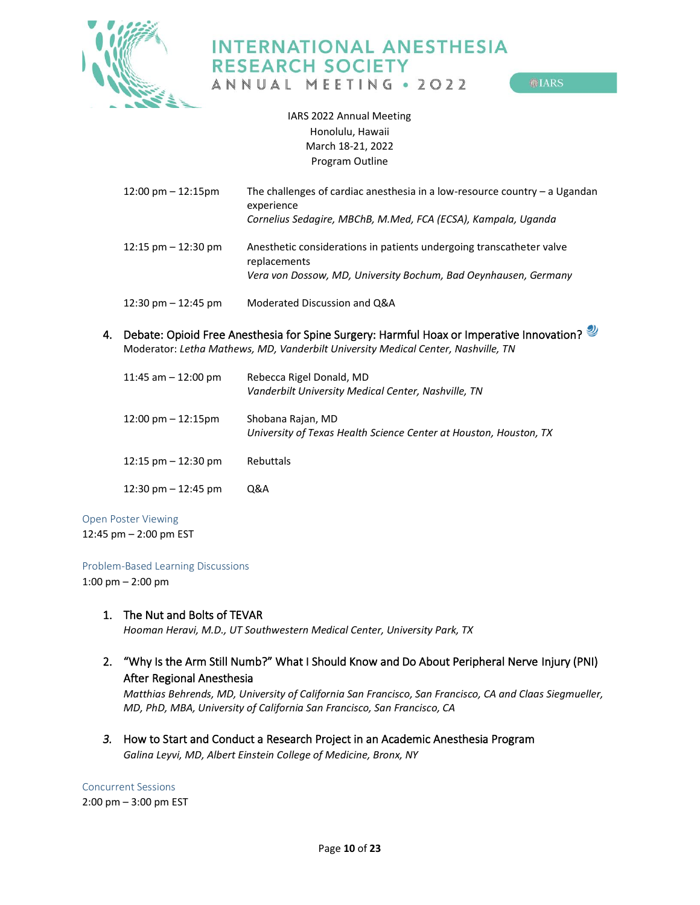

ANNUAL MEETING . 2022

**MIARS** 

IARS 2022 Annual Meeting Honolulu, Hawaii March 18-21, 2022 Program Outline

| $12:00 \text{ pm} - 12:15 \text{pm}$  | The challenges of cardiac anesthesia in a low-resource country $-$ a Ugandan<br>experience<br>Cornelius Sedagire, MBChB, M.Med, FCA (ECSA), Kampala, Uganda |
|---------------------------------------|-------------------------------------------------------------------------------------------------------------------------------------------------------------|
| $12:15$ pm $-12:30$ pm                | Anesthetic considerations in patients undergoing transcatheter valve<br>replacements<br>Vera von Dossow, MD, University Bochum, Bad Oeynhausen, Germany     |
| $12:30 \text{ pm} - 12:45 \text{ pm}$ | Moderated Discussion and Q&A                                                                                                                                |

<span id="page-9-0"></span>4. Debate: Opioid Free Anesthesia for Spine Surgery: Harmful Hoax or Imperative Innovation? Moderator: *Letha Mathews, MD, Vanderbilt University Medical Center, Nashville, TN*

| 11:45 am $-$ 12:00 pm                | Rebecca Rigel Donald, MD<br>Vanderbilt University Medical Center, Nashville, TN        |
|--------------------------------------|----------------------------------------------------------------------------------------|
| $12:00 \text{ pm} - 12:15 \text{pm}$ | Shobana Rajan, MD<br>University of Texas Health Science Center at Houston, Houston, TX |
| $12:15$ pm $-12:30$ pm               | Rebuttals                                                                              |
| 12:30 pm $-$ 12:45 pm                | Q&A                                                                                    |

#### <span id="page-9-1"></span>Open Poster Viewing

12:45 pm – 2:00 pm EST

<span id="page-9-2"></span>Problem-Based Learning Discussions

1:00 pm – 2:00 pm

### <span id="page-9-3"></span>1. The Nut and Bolts of TEVAR

*Hooman Heravi, M.D., UT Southwestern Medical Center, University Park, TX*

<span id="page-9-4"></span>2. "Why Is the Arm Still Numb?" What I Should Know and Do About Peripheral Nerve Injury (PNI) After Regional Anesthesia

*Matthias Behrends, MD, University of California San Francisco, San Francisco, CA and Claas Siegmueller, MD, PhD, MBA, University of California San Francisco, San Francisco, CA*

<span id="page-9-5"></span>*3.* How to Start and Conduct a Research Project in an Academic Anesthesia Program *Galina Leyvi, MD, Albert Einstein College of Medicine, Bronx, NY*

<span id="page-9-6"></span>Concurrent Sessions 2:00 pm – 3:00 pm EST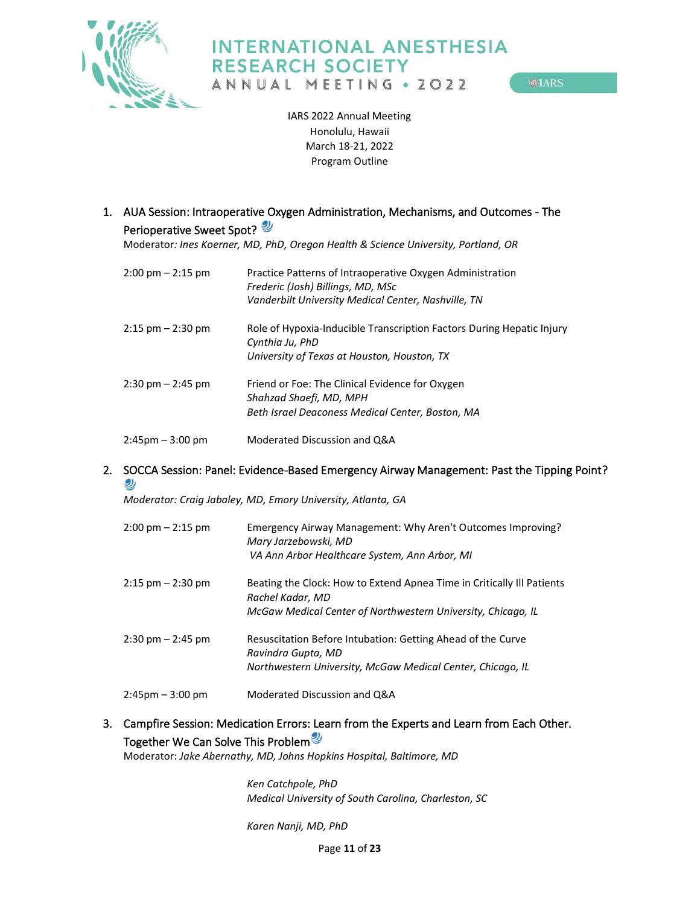

**MIARS** 

IARS 2022 Annual Meeting Honolulu, Hawaii March 18-21, 2022 Program Outline

<span id="page-10-0"></span>1. AUA Session: Intraoperative Oxygen Administration, Mechanisms, and Outcomes - The Perioperative Sweet Spot?

Moderator*: Ines Koerner, MD, PhD, Oregon Health & Science University, Portland, OR* 

| $2:00 \text{ pm} - 2:15 \text{ pm}$ | Practice Patterns of Intraoperative Oxygen Administration<br>Frederic (Josh) Billings, MD, MSc<br>Vanderbilt University Medical Center, Nashville, TN |
|-------------------------------------|-------------------------------------------------------------------------------------------------------------------------------------------------------|
| $2:15$ pm $-2:30$ pm                | Role of Hypoxia-Inducible Transcription Factors During Hepatic Injury<br>Cynthia Ju, PhD<br>University of Texas at Houston, Houston, TX               |
| $2:30 \text{ pm} - 2:45 \text{ pm}$ | Friend or Foe: The Clinical Evidence for Oxygen<br>Shahzad Shaefi, MD, MPH<br>Beth Israel Deaconess Medical Center, Boston, MA                        |
| $2:45 \text{pm} - 3:00 \text{pm}$   | Moderated Discussion and Q&A                                                                                                                          |

### <span id="page-10-1"></span>2. SOCCA Session: Panel: Evidence-Based Emergency Airway Management: Past the Tipping Point? رك

*Moderator: Craig Jabaley, MD, Emory University, Atlanta, GA*

| $2:00 \text{ pm} - 2:15 \text{ pm}$ | Emergency Airway Management: Why Aren't Outcomes Improving?<br>Mary Jarzebowski, MD<br>VA Ann Arbor Healthcare System, Ann Arbor, MI |
|-------------------------------------|--------------------------------------------------------------------------------------------------------------------------------------|
| $2:15$ pm $-2:30$ pm                | Beating the Clock: How to Extend Apnea Time in Critically Ill Patients<br>Rachel Kadar, MD                                           |
|                                     | McGaw Medical Center of Northwestern University, Chicago, IL                                                                         |
| $2:30 \text{ pm} - 2:45 \text{ pm}$ | Resuscitation Before Intubation: Getting Ahead of the Curve<br>Ravindra Gupta, MD                                                    |
|                                     | Northwestern University, McGaw Medical Center, Chicago, IL                                                                           |
| $2:45$ pm $-3:00$ pm                | Moderated Discussion and Q&A                                                                                                         |

## <span id="page-10-2"></span>3. Campfire Session: Medication Errors: Learn from the Experts and Learn from Each Other. Together We Can Solve This Problem

Moderator: *Jake Abernathy, MD, Johns Hopkins Hospital, Baltimore, MD*

*Ken Catchpole, PhD Medical University of South Carolina, Charleston, SC*

*Karen Nanji, MD, PhD*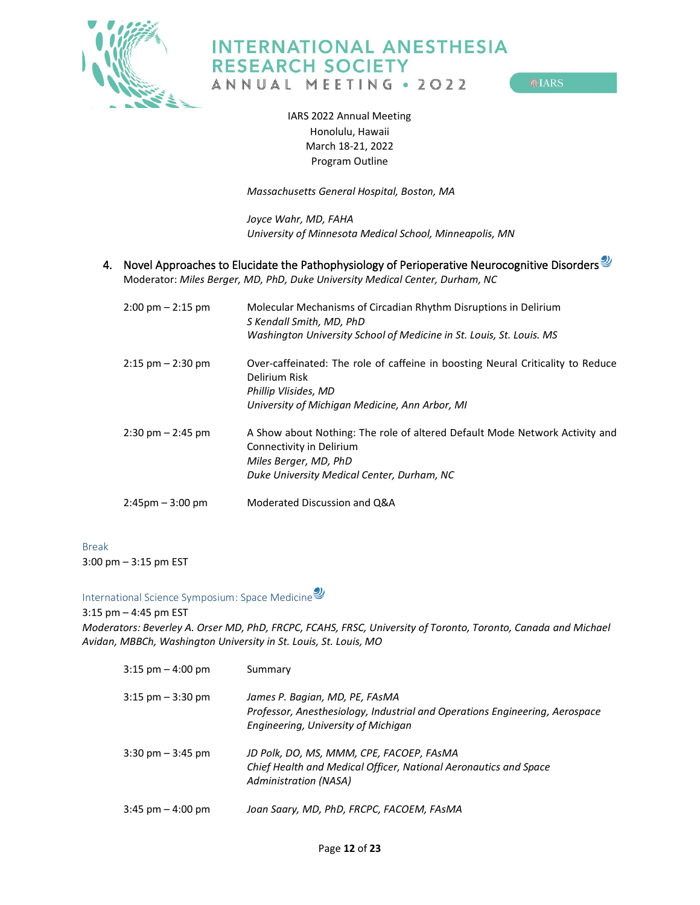

ANNUAL MEETING . 2022

**OLIARS** 

IARS 2022 Annual Meeting Honolulu, Hawaii March 18-21, 2022 Program Outline

*Massachusetts General Hospital, Boston, MA*

*Joyce Wahr, MD, FAHA University of Minnesota Medical School, Minneapolis, MN*

<span id="page-11-0"></span>4. Novel Approaches to Elucidate the Pathophysiology of Perioperative Neurocognitive Disorders

Moderator: *Miles Berger, MD, PhD, Duke University Medical Center, Durham, NC*

| $2:00 \text{ pm} - 2:15 \text{ pm}$ | Molecular Mechanisms of Circadian Rhythm Disruptions in Delirium<br>S Kendall Smith, MD, PhD<br>Washington University School of Medicine in St. Louis, St. Louis. MS           |
|-------------------------------------|--------------------------------------------------------------------------------------------------------------------------------------------------------------------------------|
| $2:15$ pm $-2:30$ pm                | Over-caffeinated: The role of caffeine in boosting Neural Criticality to Reduce<br>Delirium Risk<br>Phillip Vlisides, MD<br>University of Michigan Medicine, Ann Arbor, MI     |
| $2:30 \text{ pm} - 2:45 \text{ pm}$ | A Show about Nothing: The role of altered Default Mode Network Activity and<br>Connectivity in Delirium<br>Miles Berger, MD, PhD<br>Duke University Medical Center, Durham, NC |
| $2:45 \text{pm} - 3:00 \text{pm}$   | Moderated Discussion and Q&A                                                                                                                                                   |

<span id="page-11-1"></span>Break 3:00 pm – 3:15 pm EST

<span id="page-11-2"></span>International Science Symposium: Space Medicine

3:15 pm – 4:45 pm EST *Moderators: Beverley A. Orser MD, PhD, FRCPC, FCAHS, FRSC, University of Toronto, Toronto, Canada and Michael Avidan, MBBCh, Washington University in St. Louis, St. Louis, MO*

| $3:15$ pm $-4:00$ pm                | Summary                                                                                                                                              |
|-------------------------------------|------------------------------------------------------------------------------------------------------------------------------------------------------|
| $3:15$ pm $-3:30$ pm                | James P. Bagian, MD, PE, FAsMA<br>Professor, Anesthesiology, Industrial and Operations Engineering, Aerospace<br>Engineering, University of Michigan |
| $3:30 \text{ pm} - 3:45 \text{ pm}$ | JD Polk, DO, MS, MMM, CPE, FACOEP, FAsMA<br>Chief Health and Medical Officer, National Aeronautics and Space<br>Administration (NASA)                |
| $3:45$ pm $-4:00$ pm                | Joan Saary, MD, PhD, FRCPC, FACOEM, FAsMA                                                                                                            |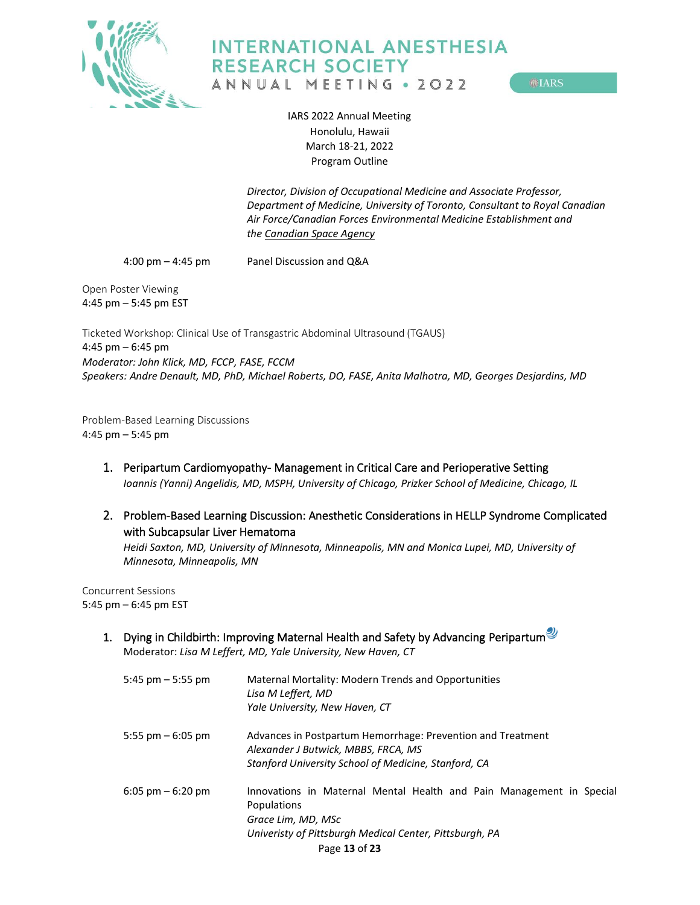

**MIARS** 

IARS 2022 Annual Meeting Honolulu, Hawaii March 18-21, 2022 Program Outline

*Director, Division of Occupational Medicine and Associate Professor, Department of Medicine, University of Toronto, Consultant to Royal Canadian Air Force/Canadian Forces Environmental Medicine Establishment and the [Canadian Space Agency](https://linkprotect.cudasvc.com/url?a=http%3a%2f%2fwww.asc-csa.gc.ca%2feng%2fDefault.asp&c=E,1,ThD6-Jm3bLhcMds3rfL_s475wgra8DDAEM9IsZ9-Yo7srUE22ErMiRAiWP-KAlFx-thi1l7U0hI-PA_wmMgoo2YOTKeGQswVKOH6PFKovO101QYoIiLG&typo=1)*

4:00 pm – 4:45 pm Panel Discussion and Q&A

<span id="page-12-0"></span>Open Poster Viewing 4:45 pm – 5:45 pm EST

<span id="page-12-1"></span>Ticketed Workshop: Clinical Use of Transgastric Abdominal Ultrasound (TGAUS) 4:45 pm – 6:45 pm *Moderator: John Klick, MD, FCCP, FASE, FCCM Speakers: Andre Denault, MD, PhD, Michael Roberts, DO, FASE, Anita Malhotra, MD, Georges Desjardins, MD* 

<span id="page-12-2"></span>Problem-Based Learning Discussions 4:45 pm – 5:45 pm

- <span id="page-12-3"></span>1. Peripartum Cardiomyopathy- Management in Critical Care and Perioperative Setting *Ioannis (Yanni) Angelidis, MD, MSPH, University of Chicago, Prizker School of Medicine, Chicago, IL*
- <span id="page-12-4"></span>2. Problem-Based Learning Discussion: Anesthetic Considerations in HELLP Syndrome Complicated with Subcapsular Liver Hematoma

*Heidi Saxton, MD, University of Minnesota, Minneapolis, MN and Monica Lupei, MD, University of Minnesota, Minneapolis, MN*

<span id="page-12-5"></span>Concurrent Sessions 5:45 pm – 6:45 pm EST

> <span id="page-12-6"></span>1. Dying in Childbirth: Improving Maternal Health and Safety by Advancing Peripartum Moderator: *Lisa M Leffert, MD, Yale University, New Haven, CT*

| 5:45 pm $-$ 5:55 pm                 | Maternal Mortality: Modern Trends and Opportunities<br>Lisa M Leffert, MD<br>Yale University, New Haven, CT                                                                           |
|-------------------------------------|---------------------------------------------------------------------------------------------------------------------------------------------------------------------------------------|
| 5:55 pm $-6:05$ pm                  | Advances in Postpartum Hemorrhage: Prevention and Treatment<br>Alexander J Butwick, MBBS, FRCA, MS<br>Stanford University School of Medicine, Stanford, CA                            |
| $6:05 \text{ pm} - 6:20 \text{ pm}$ | Innovations in Maternal Mental Health and Pain Management in Special<br>Populations<br>Grace Lim, MD, MSc<br>Univeristy of Pittsburgh Medical Center, Pittsburgh, PA<br>Page 13 of 23 |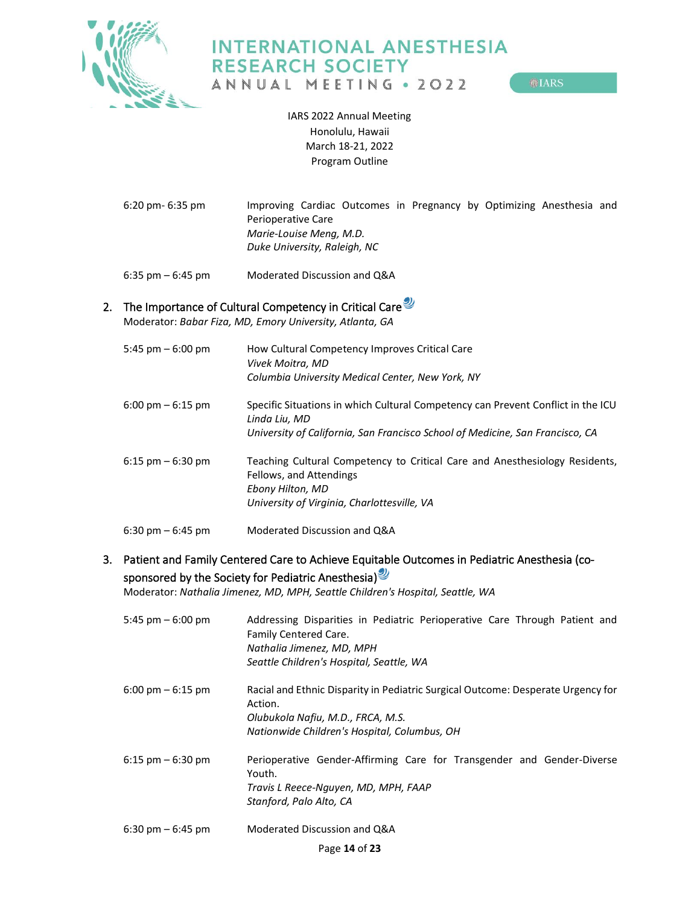

**MIARS** 

IARS 2022 Annual Meeting Honolulu, Hawaii March 18-21, 2022 Program Outline

6:20 pm- 6:35 pm Improving Cardiac Outcomes in Pregnancy by Optimizing Anesthesia and Perioperative Care *Marie-Louise Meng, M.D. Duke University, Raleigh, NC*

6:35 pm – 6:45 pm Moderated Discussion and Q&A

## <span id="page-13-0"></span>2. The Importance of Cultural Competency in Critical Care

Moderator: *Babar Fiza, MD, Emory University, Atlanta, GA*

| 5:45 pm $-6:00$ pm                  | How Cultural Competency Improves Critical Care<br>Vivek Moitra. MD<br>Columbia University Medical Center, New York, NY                                                             |
|-------------------------------------|------------------------------------------------------------------------------------------------------------------------------------------------------------------------------------|
| $6:00 \text{ pm} - 6:15 \text{ pm}$ | Specific Situations in which Cultural Competency can Prevent Conflict in the ICU<br>Linda Liu, MD<br>University of California, San Francisco School of Medicine, San Francisco, CA |
|                                     |                                                                                                                                                                                    |
| $6:15$ pm $-6:30$ pm                | Teaching Cultural Competency to Critical Care and Anesthesiology Residents,<br>Fellows, and Attendings<br>Ebony Hilton, MD<br>University of Virginia, Charlottesville, VA          |
| $6:30 \text{ pm} - 6:45 \text{ pm}$ | Moderated Discussion and Q&A                                                                                                                                                       |

## <span id="page-13-1"></span>3. Patient and Family Centered Care to Achieve Equitable Outcomes in Pediatric Anesthesia (cosponsored by the Society for Pediatric Anesthesia)<sup>9</sup>

Moderator: *Nathalia Jimenez, MD, MPH, Seattle Children's Hospital, Seattle, WA*

| 5:45 pm $-6:00$ pm                  | Addressing Disparities in Pediatric Perioperative Care Through Patient and<br>Family Centered Care.<br>Nathalia Jimenez, MD, MPH<br>Seattle Children's Hospital, Seattle, WA     |
|-------------------------------------|----------------------------------------------------------------------------------------------------------------------------------------------------------------------------------|
| $6:00 \text{ pm} - 6:15 \text{ pm}$ | Racial and Ethnic Disparity in Pediatric Surgical Outcome: Desperate Urgency for<br>Action.<br>Olubukola Nafiu, M.D., FRCA, M.S.<br>Nationwide Children's Hospital, Columbus, OH |
| $6:15$ pm $-6:30$ pm                | Perioperative Gender-Affirming Care for Transgender and Gender-Diverse<br>Youth.<br>Travis L Reece-Nguyen, MD, MPH, FAAP<br>Stanford, Palo Alto, CA                              |
| $6:30 \text{ pm} - 6:45 \text{ pm}$ | Moderated Discussion and Q&A                                                                                                                                                     |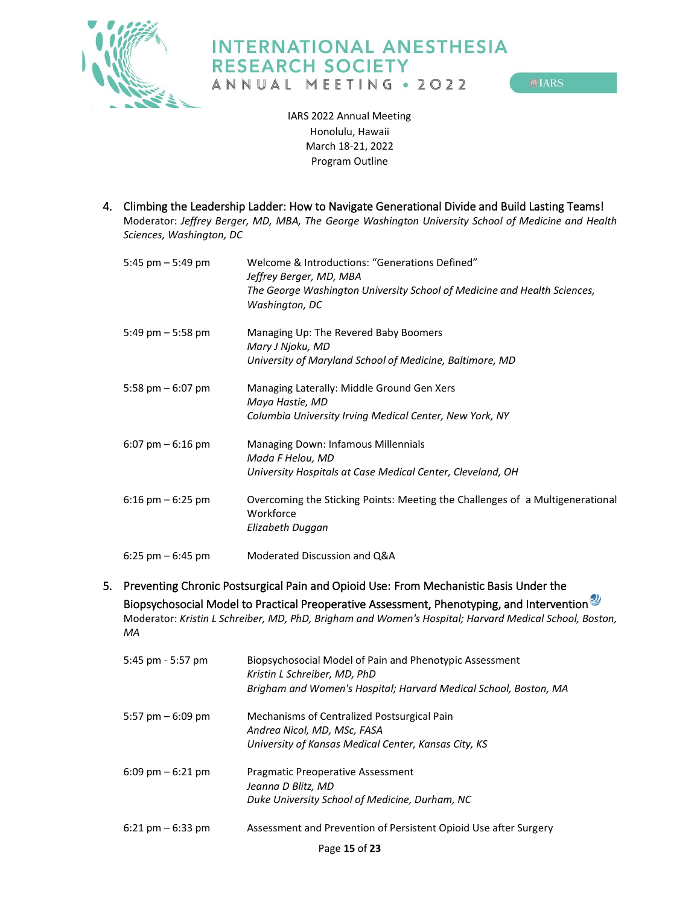

**OLARS** 

IARS 2022 Annual Meeting Honolulu, Hawaii March 18-21, 2022 Program Outline

<span id="page-14-0"></span>4. Climbing the Leadership Ladder: How to Navigate Generational Divide and Build Lasting Teams! Moderator: *Jeffrey Berger, MD, MBA, The George Washington University School of Medicine and Health Sciences, Washington, DC*

| 5:45 pm $-$ 5:49 pm  | Welcome & Introductions: "Generations Defined"<br>Jeffrey Berger, MD, MBA<br>The George Washington University School of Medicine and Health Sciences,<br>Washington, DC |
|----------------------|-------------------------------------------------------------------------------------------------------------------------------------------------------------------------|
| 5:49 pm $-$ 5:58 pm  | Managing Up: The Revered Baby Boomers<br>Mary J Njoku, MD<br>University of Maryland School of Medicine, Baltimore, MD                                                   |
| 5:58 pm $-6:07$ pm   | Managing Laterally: Middle Ground Gen Xers<br>Maya Hastie, MD<br>Columbia University Irving Medical Center, New York, NY                                                |
| $6:07$ pm $-6:16$ pm | Managing Down: Infamous Millennials<br>Mada F Helou, MD<br>University Hospitals at Case Medical Center, Cleveland, OH                                                   |
| $6:16$ pm $-6:25$ pm | Overcoming the Sticking Points: Meeting the Challenges of a Multigenerational<br>Workforce<br>Elizabeth Duggan                                                          |
| 6:25 pm $-$ 6:45 pm  | Moderated Discussion and Q&A                                                                                                                                            |

<span id="page-14-1"></span>5. Preventing Chronic Postsurgical Pain and Opioid Use: From Mechanistic Basis Under the Biopsychosocial Model to Practical Preoperative Assessment, Phenotyping, and Intervention<sup>2</sup> Moderator: *Kristin L Schreiber, MD, PhD, Brigham and Women's Hospital; Harvard Medical School, Boston, MA*

| 5:45 pm - 5:57 pm    | Biopsychosocial Model of Pain and Phenotypic Assessment<br>Kristin L Schreiber, MD, PhD<br>Brigham and Women's Hospital; Harvard Medical School, Boston, MA |
|----------------------|-------------------------------------------------------------------------------------------------------------------------------------------------------------|
| 5:57 pm $-6:09$ pm   | Mechanisms of Centralized Postsurgical Pain<br>Andrea Nicol, MD, MSc, FASA<br>University of Kansas Medical Center, Kansas City, KS                          |
| $6:09$ pm $-6:21$ pm | <b>Pragmatic Preoperative Assessment</b><br>Jeanna D Blitz, MD<br>Duke University School of Medicine, Durham, NC                                            |
| $6:21$ pm $-6:33$ pm | Assessment and Prevention of Persistent Opioid Use after Surgery                                                                                            |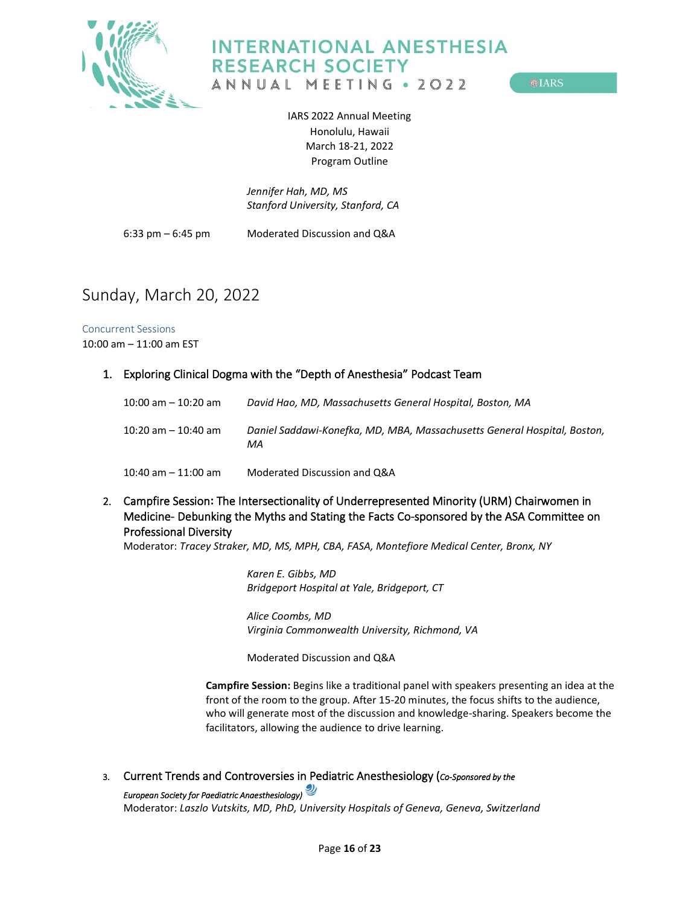

**OLARS** 

IARS 2022 Annual Meeting Honolulu, Hawaii March 18-21, 2022 Program Outline

*Jennifer Hah, MD, MS Stanford University, Stanford, CA*

6:33 pm – 6:45 pm Moderated Discussion and Q&A

## <span id="page-15-0"></span>Sunday, March 20, 2022

<span id="page-15-1"></span>Concurrent Sessions 10:00 am – 11:00 am EST

### <span id="page-15-2"></span>1. Exploring Clinical Dogma with the "Depth of Anesthesia" Podcast Team

| 10:00 am - 10:20 am | David Hao, MD, Massachusetts General Hospital, Boston, MA                      |
|---------------------|--------------------------------------------------------------------------------|
| 10:20 am - 10:40 am | Daniel Saddawi-Konefka, MD, MBA, Massachusetts General Hospital, Boston,<br>МA |
| 10:40 am – 11:00 am | Moderated Discussion and Q&A                                                   |

<span id="page-15-3"></span>2. Campfire Session**:** The Intersectionality of Underrepresented Minority (URM) Chairwomen in Medicine- Debunking the Myths and Stating the Facts Co-sponsored by the ASA Committee on Professional Diversity

Moderator: *Tracey Straker, MD, MS, MPH, CBA, FASA, Montefiore Medical Center, Bronx, NY*

*Karen E. Gibbs, MD Bridgeport Hospital at Yale, Bridgeport, CT*

*Alice Coombs, MD Virginia Commonwealth University, Richmond, VA*

Moderated Discussion and Q&A

**Campfire Session:** Begins like a traditional panel with speakers presenting an idea at the front of the room to the group. After 15-20 minutes, the focus shifts to the audience, who will generate most of the discussion and knowledge-sharing. Speakers become the facilitators, allowing the audience to drive learning.

<span id="page-15-5"></span><span id="page-15-4"></span>3. Current Trends and Controversies in Pediatric Anesthesiology (*Co-Sponsored by the* 

*European Society for Paediatric Anaesthesiology)* 

Moderator: *Laszlo Vutskits, MD, PhD, University Hospitals of Geneva, Geneva, Switzerland*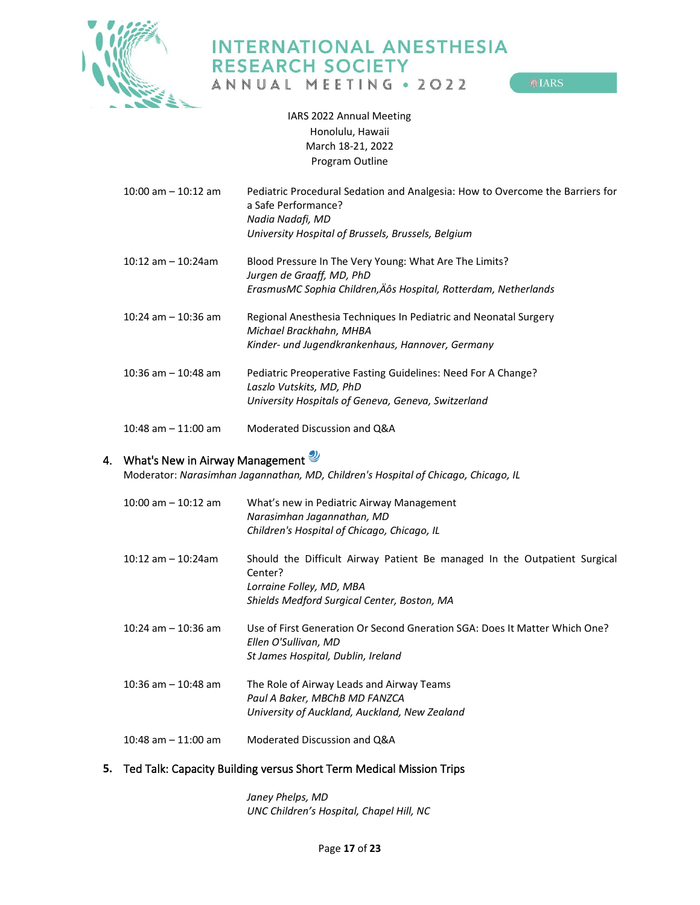

ANNUAL MEETING . 2022

**OLARS** 

IARS 2022 Annual Meeting Honolulu, Hawaii March 18-21, 2022 Program Outline

| $10:00$ am $-10:12$ am  | Pediatric Procedural Sedation and Analgesia: How to Overcome the Barriers for<br>a Safe Performance?<br>Nadia Nadafi, MD<br>University Hospital of Brussels, Brussels, Belgium |
|-------------------------|--------------------------------------------------------------------------------------------------------------------------------------------------------------------------------|
|                         |                                                                                                                                                                                |
| $10:12$ am $-10:24$ am  | Blood Pressure In The Very Young: What Are The Limits?                                                                                                                         |
|                         | Jurgen de Graaff, MD, PhD                                                                                                                                                      |
|                         | ErasmusMC Sophia Children, Äôs Hospital, Rotterdam, Netherlands                                                                                                                |
| $10:24$ am $-10:36$ am  | Regional Anesthesia Techniques In Pediatric and Neonatal Surgery<br>Michael Brackhahn, MHBA                                                                                    |
|                         | Kinder- und Jugendkrankenhaus, Hannover, Germany                                                                                                                               |
|                         |                                                                                                                                                                                |
| $10:36$ am $- 10:48$ am | Pediatric Preoperative Fasting Guidelines: Need For A Change?                                                                                                                  |
|                         | Laszlo Vutskits, MD, PhD                                                                                                                                                       |
|                         | University Hospitals of Geneva, Geneva, Switzerland                                                                                                                            |
| 10:48 am $-$ 11:00 am   | Moderated Discussion and Q&A                                                                                                                                                   |

# <span id="page-16-0"></span>4. What's New in Airway Management

Moderator: *Narasimhan Jagannathan, MD, Children's Hospital of Chicago, Chicago, IL*

| $10:00$ am $-10:12$ am  | What's new in Pediatric Airway Management<br>Narasimhan Jagannathan, MD<br>Children's Hospital of Chicago, Chicago, IL                                          |
|-------------------------|-----------------------------------------------------------------------------------------------------------------------------------------------------------------|
| $10:12$ am $-10:24$ am  | Should the Difficult Airway Patient Be managed In the Outpatient Surgical<br>Center?<br>Lorraine Folley, MD, MBA<br>Shields Medford Surgical Center, Boston, MA |
| $10:24$ am $- 10:36$ am | Use of First Generation Or Second Gneration SGA: Does It Matter Which One?<br>Ellen O'Sullivan, MD<br>St James Hospital, Dublin, Ireland                        |
| $10:36$ am $- 10:48$ am | The Role of Airway Leads and Airway Teams<br>Paul A Baker, MBChB MD FANZCA<br>University of Auckland, Auckland, New Zealand                                     |
| $10:48$ am $-11:00$ am  | Moderated Discussion and Q&A                                                                                                                                    |

## <span id="page-16-1"></span>**5.** Ted Talk: Capacity Building versus Short Term Medical Mission Trips

*Janey Phelps, MD UNC Children's Hospital, Chapel Hill, NC*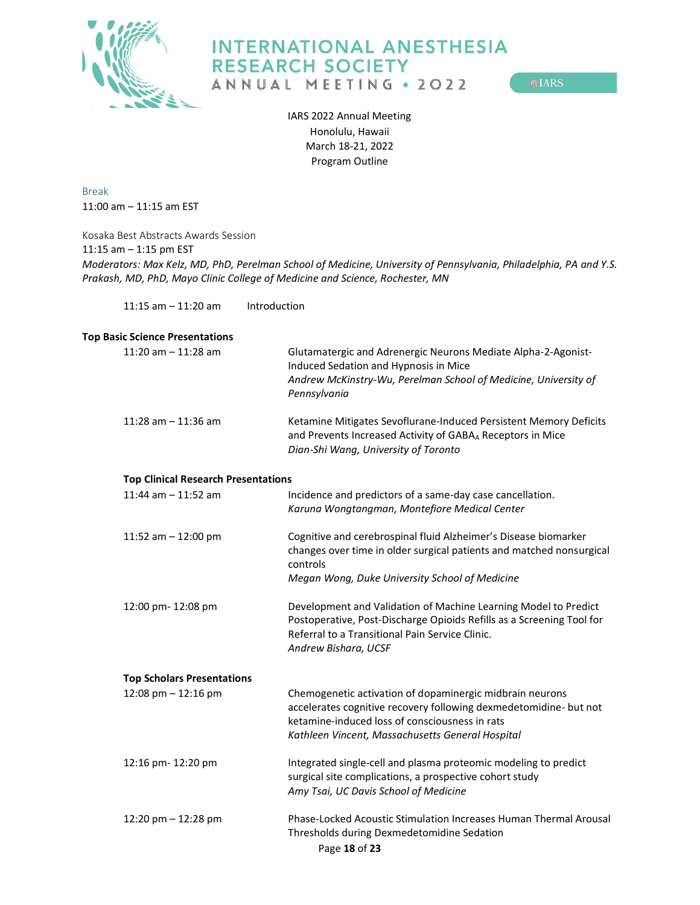

**OLARS** 

IARS 2022 Annual Meeting Honolulu, Hawaii March 18-21, 2022 Program Outline

<span id="page-17-0"></span>Break 11:00 am – 11:15 am EST

<span id="page-17-1"></span>Kosaka Best Abstracts Awards Session 11:15 am – 1:15 pm EST *Moderators: Max Kelz, MD, PhD, Perelman School of Medicine, University of Pennsylvania, Philadelphia, PA and Y.S. Prakash, MD, PhD, Mayo Clinic College of Medicine and Science, Rochester, MN*

11:15 am – 11:20 am Introduction

### <span id="page-17-2"></span>**Top Basic Science Presentations**

<span id="page-17-4"></span><span id="page-17-3"></span>

| 11:20 am $-$ 11:28 am                      | Glutamatergic and Adrenergic Neurons Mediate Alpha-2-Agonist-<br>Induced Sedation and Hypnosis in Mice<br>Andrew McKinstry-Wu, Perelman School of Medicine, University of<br>Pennsylvania                                           |
|--------------------------------------------|-------------------------------------------------------------------------------------------------------------------------------------------------------------------------------------------------------------------------------------|
| 11:28 am $-$ 11:36 am                      | Ketamine Mitigates Sevoflurane-Induced Persistent Memory Deficits<br>and Prevents Increased Activity of GABAA Receptors in Mice<br>Dian-Shi Wang, University of Toronto                                                             |
| <b>Top Clinical Research Presentations</b> |                                                                                                                                                                                                                                     |
| 11:44 am $-$ 11:52 am                      | Incidence and predictors of a same-day case cancellation.<br>Karuna Wongtangman, Montefiore Medical Center                                                                                                                          |
| 11:52 am $-$ 12:00 pm                      | Cognitive and cerebrospinal fluid Alzheimer's Disease biomarker<br>changes over time in older surgical patients and matched nonsurgical<br>controls                                                                                 |
|                                            | Megan Wong, Duke University School of Medicine                                                                                                                                                                                      |
| 12:00 pm- 12:08 pm                         | Development and Validation of Machine Learning Model to Predict<br>Postoperative, Post-Discharge Opioids Refills as a Screening Tool for<br>Referral to a Transitional Pain Service Clinic.<br>Andrew Bishara, UCSF                 |
| <b>Top Scholars Presentations</b>          |                                                                                                                                                                                                                                     |
| 12:08 pm $- 12:16$ pm                      | Chemogenetic activation of dopaminergic midbrain neurons<br>accelerates cognitive recovery following dexmedetomidine- but not<br>ketamine-induced loss of consciousness in rats<br>Kathleen Vincent, Massachusetts General Hospital |
| 12:16 pm- 12:20 pm                         | Integrated single-cell and plasma proteomic modeling to predict<br>surgical site complications, a prospective cohort study<br>Amy Tsai, UC Davis School of Medicine                                                                 |
| 12:20 pm - 12:28 pm                        | Phase-Locked Acoustic Stimulation Increases Human Thermal Arousal<br>Thresholds during Dexmedetomidine Sedation<br>Page 18 of 23                                                                                                    |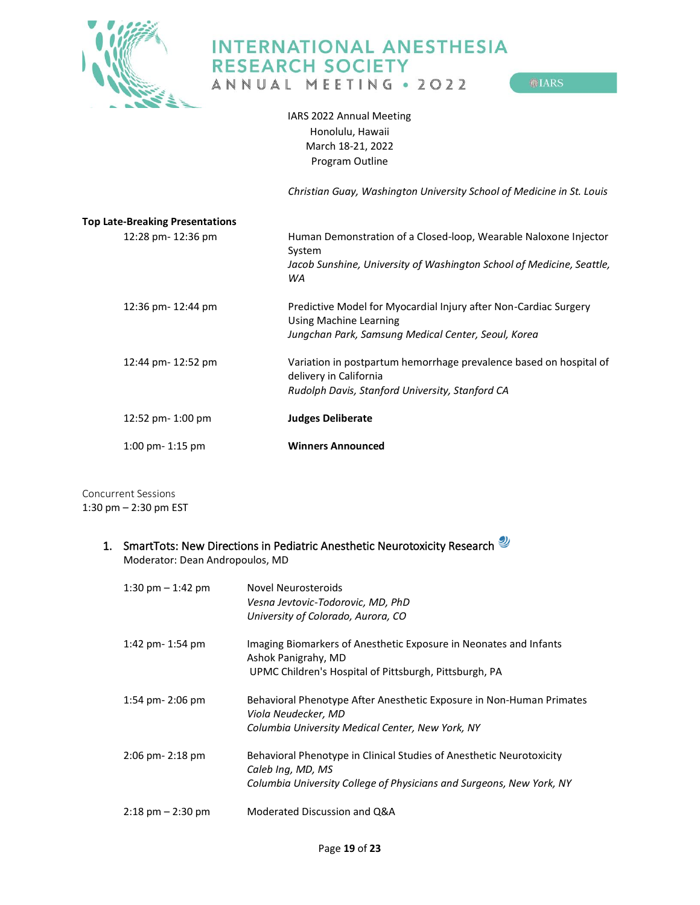

ANNUAL MEETING . 2022

**OLARS** 

IARS 2022 Annual Meeting Honolulu, Hawaii March 18-21, 2022 Program Outline

<span id="page-18-3"></span>*Christian Guay, Washington University School of Medicine in St. Louis*

<span id="page-18-2"></span><span id="page-18-1"></span><span id="page-18-0"></span>

| <b>Top Late-Breaking Presentations</b> |                                                                                              |
|----------------------------------------|----------------------------------------------------------------------------------------------|
| 12:28 pm- 12:36 pm                     | Human Demonstration of a Closed-loop, Wearable Naloxone Injector<br>System                   |
|                                        | Jacob Sunshine, University of Washington School of Medicine, Seattle,<br>WA                  |
| 12:36 pm- 12:44 pm                     | Predictive Model for Myocardial Injury after Non-Cardiac Surgery<br>Using Machine Learning   |
|                                        | Jungchan Park, Samsung Medical Center, Seoul, Korea                                          |
| 12:44 pm- 12:52 pm                     | Variation in postpartum hemorrhage prevalence based on hospital of<br>delivery in California |
|                                        | Rudolph Davis, Stanford University, Stanford CA                                              |
| 12:52 pm- 1:00 pm                      | <b>Judges Deliberate</b>                                                                     |
| $1:00$ pm- $1:15$ pm                   | <b>Winners Announced</b>                                                                     |

<span id="page-18-4"></span>Concurrent Sessions 1:30 pm – 2:30 pm EST

## <span id="page-18-5"></span>1. SmartTots: New Directions in Pediatric Anesthetic Neurotoxicity Research Moderator: Dean Andropoulos, MD

| 1:30 pm $-$ 1:42 pm                 | Novel Neurosteroids<br>Vesna Jevtovic-Todorovic, MD, PhD<br>University of Colorado, Aurora, CO                                                                    |
|-------------------------------------|-------------------------------------------------------------------------------------------------------------------------------------------------------------------|
| 1:42 pm - 1:54 pm                   | Imaging Biomarkers of Anesthetic Exposure in Neonates and Infants<br>Ashok Panigrahy, MD<br>UPMC Children's Hospital of Pittsburgh, Pittsburgh, PA                |
| $1:54$ pm- $2:06$ pm                | Behavioral Phenotype After Anesthetic Exposure in Non-Human Primates<br>Viola Neudecker, MD<br>Columbia University Medical Center, New York, NY                   |
| $2:06$ pm- $2:18$ pm                | Behavioral Phenotype in Clinical Studies of Anesthetic Neurotoxicity<br>Caleb Ing, MD, MS<br>Columbia University College of Physicians and Surgeons, New York, NY |
| $2:18 \text{ pm} - 2:30 \text{ pm}$ | Moderated Discussion and Q&A                                                                                                                                      |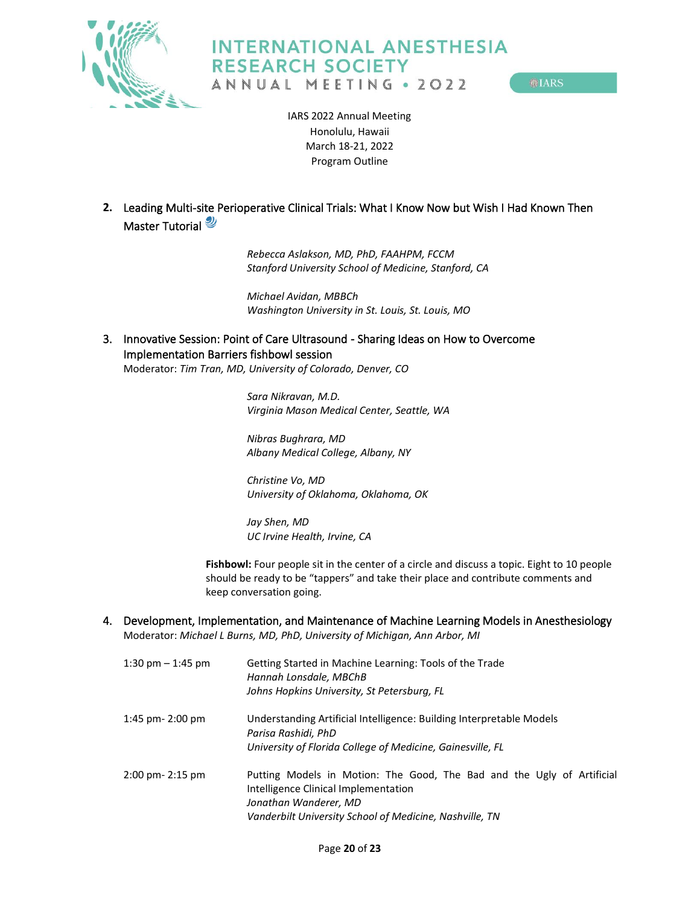



**OLARS** 

IARS 2022 Annual Meeting Honolulu, Hawaii March 18-21, 2022 Program Outline

<span id="page-19-0"></span>**2.** Leading Multi-site Perioperative Clinical Trials: What I Know Now but Wish I Had Known Then Master Tutorial

> *Rebecca Aslakson, MD, PhD, FAAHPM, FCCM Stanford University School of Medicine, Stanford, CA*

*Michael Avidan, MBBCh Washington University in St. Louis, St. Louis, MO*

<span id="page-19-1"></span>3. Innovative Session: Point of Care Ultrasound - Sharing Ideas on How to Overcome Implementation Barriers fishbowl session Moderator: *Tim Tran, MD, University of Colorado, Denver, CO*

> *Sara Nikravan, M.D. Virginia Mason Medical Center, Seattle, WA*

*Nibras Bughrara, MD Albany Medical College, Albany, NY*

*Christine Vo, MD University of Oklahoma, Oklahoma, OK*

*Jay Shen, MD UC Irvine Health, Irvine, CA*

Fishbowl: Four people sit in the center of a circle and discuss a topic. Eight to 10 people should be ready to be "tappers" and take their place and contribute comments and keep conversation going.

<span id="page-19-2"></span>4. Development, Implementation, and Maintenance of Machine Learning Models in Anesthesiology Moderator: *Michael L Burns, MD, PhD, University of Michigan, Ann Arbor, MI*

| 1:30 pm $-$ 1:45 pm  | Getting Started in Machine Learning: Tools of the Trade<br>Hannah Lonsdale, MBChB<br>Johns Hopkins University, St Petersburg, FL                                                                   |
|----------------------|----------------------------------------------------------------------------------------------------------------------------------------------------------------------------------------------------|
| 1:45 pm $-$ 2:00 pm  | Understanding Artificial Intelligence: Building Interpretable Models<br>Parisa Rashidi, PhD<br>University of Florida College of Medicine, Gainesville, FL                                          |
| $2:00$ pm- $2:15$ pm | Putting Models in Motion: The Good, The Bad and the Ugly of Artificial<br>Intelligence Clinical Implementation<br>Jonathan Wanderer, MD<br>Vanderbilt University School of Medicine, Nashville, TN |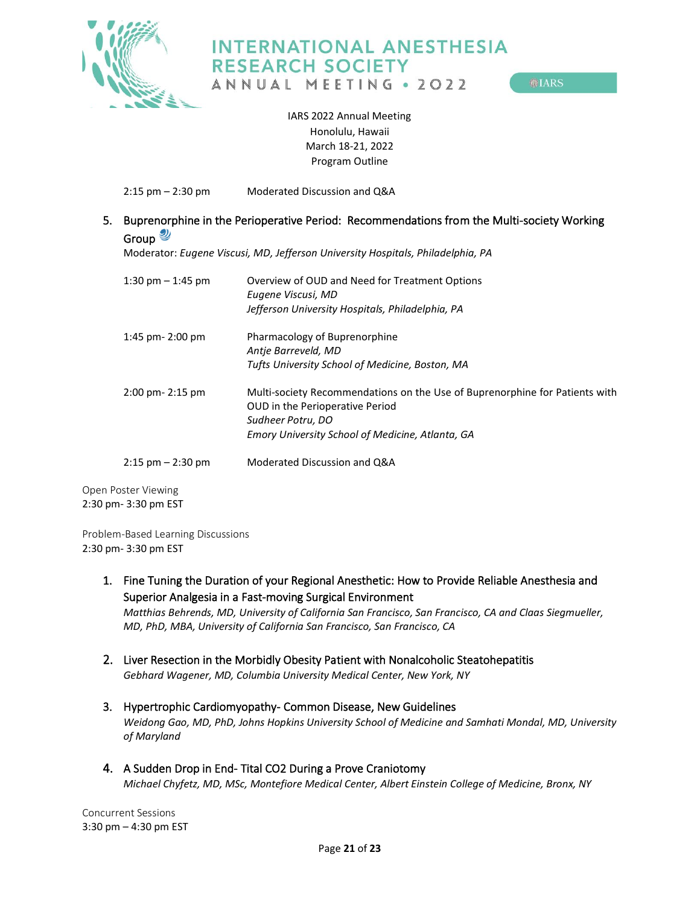

ANNUAL MEETING . 2022

**OLARS** 

IARS 2022 Annual Meeting Honolulu, Hawaii March 18-21, 2022 Program Outline

2:15 pm – 2:30 pm Moderated Discussion and Q&A

## <span id="page-20-0"></span>5. Buprenorphine in the Perioperative Period: Recommendations from the Multi-society Working Group<sup></sup>

Moderator: *Eugene Viscusi, MD, Jefferson University Hospitals, Philadelphia, PA*

| 1:30 pm $-$ 1:45 pm  | Overview of OUD and Need for Treatment Options<br>Eugene Viscusi, MD<br>Jefferson University Hospitals, Philadelphia, PA                                                                       |
|----------------------|------------------------------------------------------------------------------------------------------------------------------------------------------------------------------------------------|
| $1:45$ pm- $2:00$ pm | Pharmacology of Buprenorphine<br>Antie Barreveld, MD<br>Tufts University School of Medicine, Boston, MA                                                                                        |
| $2:00$ pm- $2:15$ pm | Multi-society Recommendations on the Use of Buprenorphine for Patients with<br><b>OUD</b> in the Perioperative Period<br>Sudheer Potru, DO<br>Emory University School of Medicine, Atlanta, GA |
| $2:15$ pm $-2:30$ pm | Moderated Discussion and Q&A                                                                                                                                                                   |

<span id="page-20-1"></span>Open Poster Viewing 2:30 pm- 3:30 pm EST

<span id="page-20-2"></span>Problem-Based Learning Discussions 2:30 pm- 3:30 pm EST

> <span id="page-20-3"></span>1. Fine Tuning the Duration of your Regional Anesthetic: How to Provide Reliable Anesthesia and Superior Analgesia in a Fast-moving Surgical Environment

*Matthias Behrends, MD, University of California San Francisco, San Francisco, CA and Claas Siegmueller, MD, PhD, MBA, University of California San Francisco, San Francisco, CA* 

- <span id="page-20-4"></span>2. Liver Resection in the Morbidly Obesity Patient with Nonalcoholic Steatohepatitis *Gebhard Wagener, MD, Columbia University Medical Center, New York, NY*
- <span id="page-20-5"></span>3. Hypertrophic Cardiomyopathy- Common Disease, New Guidelines *Weidong Gao, MD, PhD, Johns Hopkins University School of Medicine and Samhati Mondal, MD, University of Maryland*
- <span id="page-20-6"></span>4. A Sudden Drop in End- Tital CO2 During a Prove Craniotomy *Michael Chyfetz, MD, MSc, Montefiore Medical Center, Albert Einstein College of Medicine, Bronx, NY*

<span id="page-20-7"></span>Concurrent Sessions 3:30 pm – 4:30 pm EST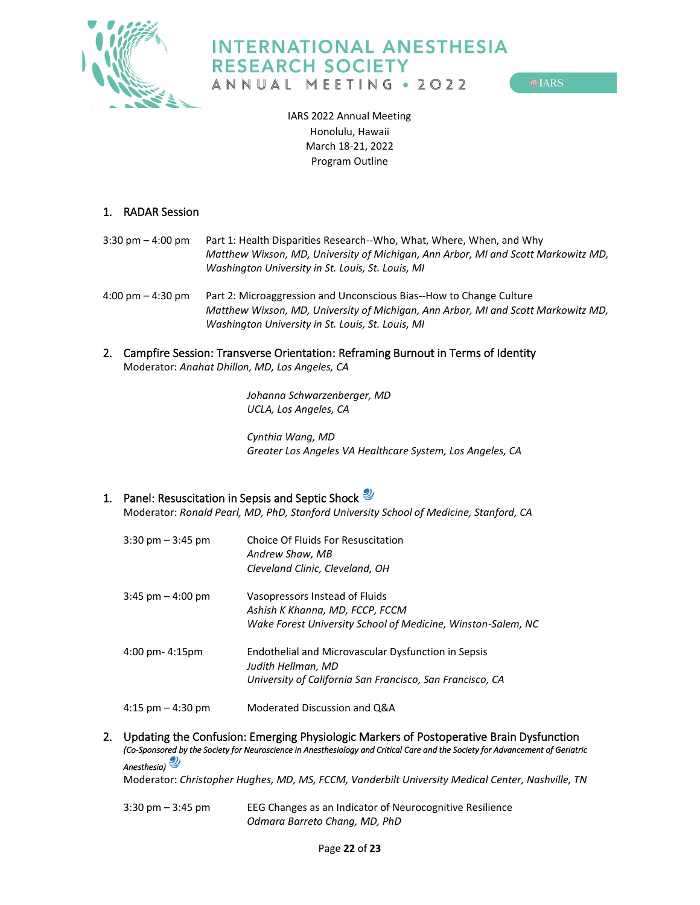

**MIARS** 

IARS 2022 Annual Meeting Honolulu, Hawaii March 18-21, 2022 Program Outline

### <span id="page-21-0"></span>1. RADAR Session

- 3:30 pm 4:00 pm Part 1: Health Disparities Research--Who, What, Where, When, and Why *Matthew Wixson, MD, University of Michigan, Ann Arbor, MI and Scott Markowitz MD, Washington University in St. Louis, St. Louis, MI*
- 4:00 pm 4:30 pm Part 2: Microaggression and Unconscious Bias--How to Change Culture *Matthew Wixson, MD, University of Michigan, Ann Arbor, MI and Scott Markowitz MD, Washington University in St. Louis, St. Louis, MI*
- <span id="page-21-1"></span>2. Campfire Session: Transverse Orientation: Reframing Burnout in Terms of Identity Moderator: *Anahat Dhillon, MD, Los Angeles, CA*

*Johanna Schwarzenberger, MD UCLA, Los Angeles, CA*

*Cynthia Wang, MD Greater Los Angeles VA Healthcare System, Los Angeles, CA*

## <span id="page-21-2"></span>1. Panel: Resuscitation in Sepsis and Septic Shock

Moderator: *Ronald Pearl, MD, PhD, Stanford University School of Medicine, Stanford, CA*

| $3:30 \text{ pm} - 3:45 \text{ pm}$ | Choice Of Fluids For Resuscitation<br>Andrew Shaw, MB<br>Cleveland Clinic, Cleveland, OH                                               |
|-------------------------------------|----------------------------------------------------------------------------------------------------------------------------------------|
| $3:45$ pm $-4:00$ pm                | Vasopressors Instead of Fluids<br>Ashish K Khanna, MD, FCCP, FCCM<br>Wake Forest University School of Medicine, Winston-Salem, NC      |
| $4:00$ pm- $4:15$ pm                | Endothelial and Microvascular Dysfunction in Sepsis<br>Judith Hellman, MD<br>University of California San Francisco, San Francisco, CA |
| $4:15$ pm $-4:30$ pm                | Moderated Discussion and Q&A                                                                                                           |

<span id="page-21-4"></span><span id="page-21-3"></span>2. Updating the Confusion: Emerging Physiologic Markers of Postoperative Brain Dysfunction *(Co-Sponsored by the Society for Neuroscience in Anesthesiology and Critical Care and the Society for Advancement of Geriatric Anesthesia)* 

Moderator: *Christopher Hughes, MD, MS, FCCM, Vanderbilt University Medical Center, Nashville, TN*

3:30 pm – 3:45 pm EEG Changes as an Indicator of Neurocognitive Resilience *Odmara Barreto Chang, MD, PhD*